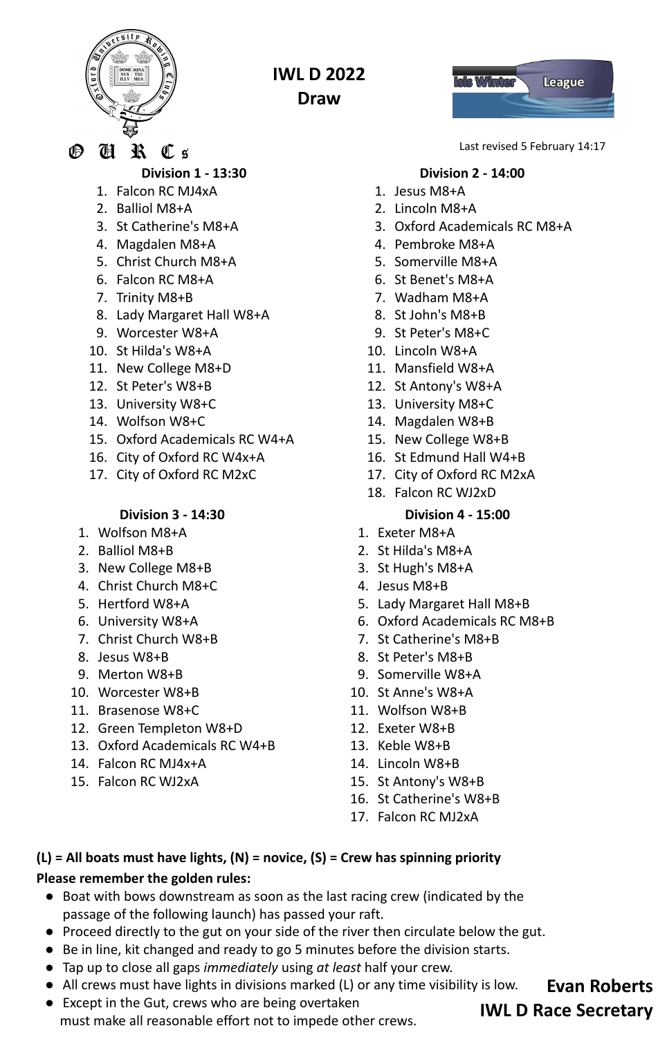

**IWL D 2022**

**Draw**



**Division 1 - 13:30**

- 1. Falcon RC MJ4xA
- 2. Balliol M8+A
- 3. St Catherine's M8+A
- 4. Magdalen M8+A
- 5. Christ Church M8+A
- 6. Falcon RC M8+A
- 7. Trinity M8+B
- 8. Lady Margaret Hall W8+A
- 9. Worcester W8+A
- 10. St Hilda's W8+A
- 11. New College M8+D
- 12. St Peter's W8+B
- 13. University W8+C
- 14. Wolfson W8+C
- 15. Oxford Academicals RC W4+A
- 16. City of Oxford RC W4x+A
- 17. City of Oxford RC M2xC

## **Division 3 - 14:30**

- 1. Wolfson M8+A
- 2. Balliol M8+B
- 3. New College M8+B
- 4. Christ Church M8+C
- 5. Hertford W8+A
- 6. University W8+A
- 7. Christ Church W8+B
- 8. Jesus W8+B
- 9. Merton W8+B
- 10. Worcester W8+B
- 11. Brasenose W8+C
- 12. Green Templeton W8+D
- 13. Oxford Academicals RC W4+B
- 14. Falcon RC MJ4x+A
- 15. Falcon RC WJ2xA



Last revised 5 February 14:17

# **Division 2 - 14:00**

- 1. Jesus M8+A
- 2. Lincoln M8+A
- 3. Oxford Academicals RC M8+A
- 4. Pembroke M8+A
- 5. Somerville M8+A
- 6. St Benet's M8+A
- 7. Wadham M8+A
- 8. St John's M8+B
- 9. St Peter's M8+C
- 10. Lincoln W8+A
- 11. Mansfield W8+A
- 12. St Antony's W8+A
- 13. University M8+C
- 14. Magdalen W8+B
- 15. New College W8+B
- 16. St Edmund Hall W4+B
- 17. City of Oxford RC M2xA
- 18. Falcon RC WJ2xD

## **Division 4 - 15:00**

- 1. Exeter M8+A
- 2. St Hilda's M8+A
- 3. St Hugh's M8+A
- 4. Jesus M8+B
- 5. Lady Margaret Hall M8+B
- 6. Oxford Academicals RC M8+B
- 7. St Catherine's M8+B
- 8. St Peter's M8+B
- 9. Somerville W8+A
- 10. St Anne's W8+A
- 11. Wolfson W8+B
- 12. Exeter W8+B
- 13. Keble W8+B
- 14. Lincoln W8+B
- 15. St Antony's W8+B
- 16. St Catherine's W8+B
- 17. Falcon RC MJ2xA

**(L) = All boats must have lights, (N) = novice, (S) = Crew has spinning priority**

## **Please remember the golden rules:**

- Boat with bows downstream as soon as the last racing crew (indicated by the passage of the following launch) has passed your raft.
- Proceed directly to the gut on your side of the river then circulate below the gut.
- Be in line, kit changed and ready to go 5 minutes before the division starts.
- Tap up to close all gaps *immediately* using *at least* half your crew.
- All crews must have lights in divisions marked (L) or any time visibility is low.
- Except in the Gut, crews who are being overtaken must make all reasonable effort not to impede other crews.

**Evan Roberts IWL D Race Secretary**